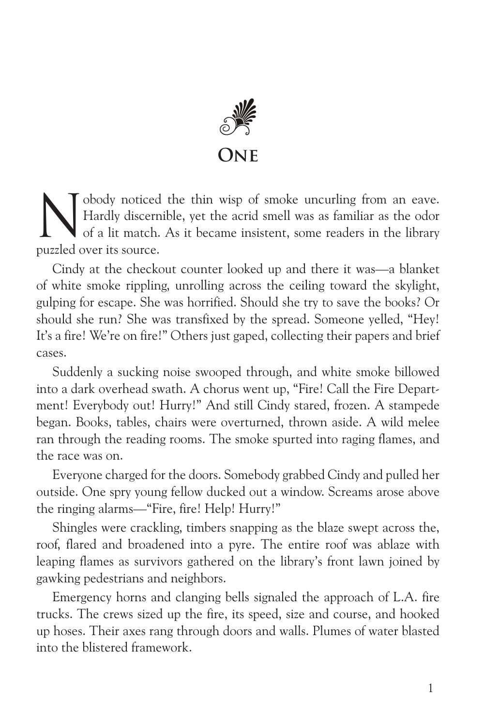

Nobody noticed the thin wisp of smoke uncurling from an eave.<br>Hardly discernible, yet the acrid smell was as familiar as the odor<br>of a lit match. As it became insistent, some readers in the library Hardly discernible, yet the acrid smell was as familiar as the odor of a lit match. As it became insistent, some readers in the library puzzled over its source.

Cindy at the checkout counter looked up and there it was—a blanket of white smoke rippling, unrolling across the ceiling toward the skylight, gulping for escape. She was horrified. Should she try to save the books? Or should she run? She was transfixed by the spread. Someone yelled, "Hey! It's a fire! We're on fire!" Others just gaped, collecting their papers and brief cases.

Suddenly a sucking noise swooped through, and white smoke billowed into a dark overhead swath. A chorus went up, "Fire! Call the Fire Department! Everybody out! Hurry!" And still Cindy stared, frozen. A stampede began. Books, tables, chairs were overturned, thrown aside. A wild melee ran through the reading rooms. The smoke spurted into raging flames, and the race was on.

Everyone charged for the doors. Somebody grabbed Cindy and pulled her outside. One spry young fellow ducked out a window. Screams arose above the ringing alarms—"Fire, fire! Help! Hurry!"

Shingles were crackling, timbers snapping as the blaze swept across the, roof, flared and broadened into a pyre. The entire roof was ablaze with leaping flames as survivors gathered on the library's front lawn joined by gawking pedestrians and neighbors.

Emergency horns and clanging bells signaled the approach of L.A. fire trucks. The crews sized up the fire, its speed, size and course, and hooked up hoses. Their axes rang through doors and walls. Plumes of water blasted into the blistered framework.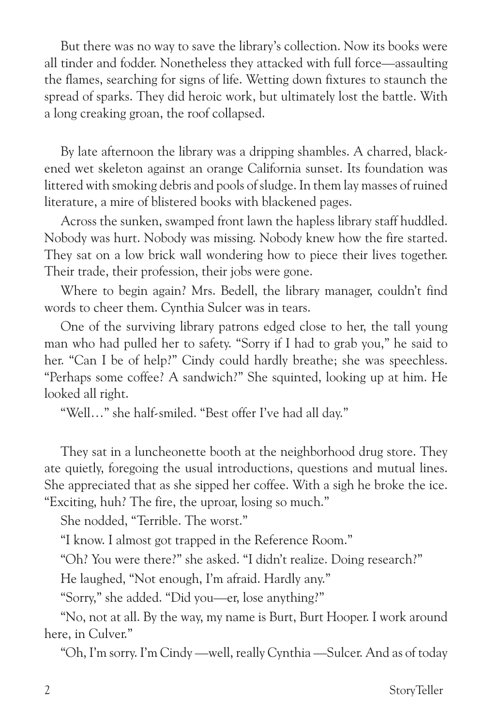But there was no way to save the library's collection. Now its books were all tinder and fodder. Nonetheless they attacked with full force—assaulting the flames, searching for signs of life. Wetting down fixtures to staunch the spread of sparks. They did heroic work, but ultimately lost the battle. With a long creaking groan, the roof collapsed.

By late afternoon the library was a dripping shambles. A charred, blackened wet skeleton against an orange California sunset. Its foundation was littered with smoking debris and pools of sludge. In them lay masses of ruined literature, a mire of blistered books with blackened pages.

Across the sunken, swamped front lawn the hapless library staff huddled. Nobody was hurt. Nobody was missing. Nobody knew how the fire started. They sat on a low brick wall wondering how to piece their lives together. Their trade, their profession, their jobs were gone.

Where to begin again? Mrs. Bedell, the library manager, couldn't find words to cheer them. Cynthia Sulcer was in tears.

One of the surviving library patrons edged close to her, the tall young man who had pulled her to safety. "Sorry if I had to grab you," he said to her. "Can I be of help?" Cindy could hardly breathe; she was speechless. "Perhaps some coffee? A sandwich?" She squinted, looking up at him. He looked all right.

"Well…" she half-smiled. "Best offer I've had all day."

They sat in a luncheonette booth at the neighborhood drug store. They ate quietly, foregoing the usual introductions, questions and mutual lines. She appreciated that as she sipped her coffee. With a sigh he broke the ice. "Exciting, huh? The fire, the uproar, losing so much."

She nodded, "Terrible. The worst."

"I know. I almost got trapped in the Reference Room."

"Oh? You were there?" she asked. "I didn't realize. Doing research?"

He laughed, "Not enough, I'm afraid. Hardly any."

"Sorry," she added. "Did you—er, lose anything?"

"No, not at all. By the way, my name is Burt, Burt Hooper. I work around here, in Culver."

"Oh, I'm sorry. I'm Cindy —well, really Cynthia —Sulcer. And as of today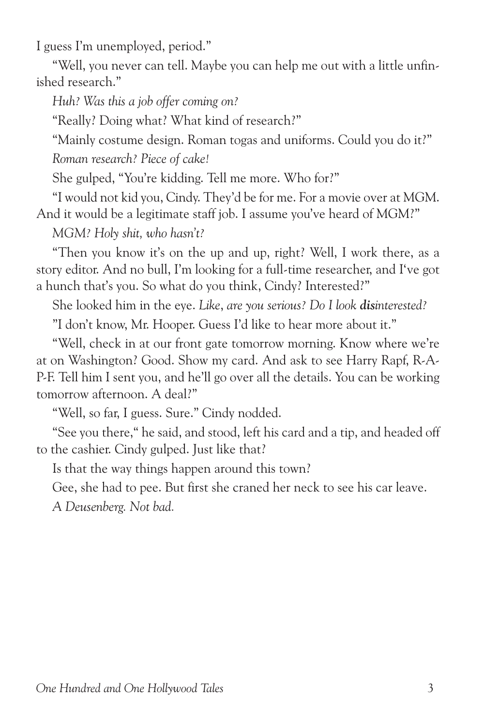I guess I'm unemployed, period."

"Well, you never can tell. Maybe you can help me out with a little unfinished research."

*Huh? Was this a job offer coming on?*

"Really? Doing what? What kind of research?"

"Mainly costume design. Roman togas and uniforms. Could you do it?" *Roman research? Piece of cake!*

She gulped, "You're kidding. Tell me more. Who for?"

"I would not kid you, Cindy. They'd be for me. For a movie over at MGM. And it would be a legitimate staff job. I assume you've heard of MGM?"

*MGM? Holy shit, who hasn't?* 

"Then you know it's on the up and up, right? Well, I work there, as a story editor. And no bull, I'm looking for a full-time researcher, and I've got a hunch that's you. So what do you think, Cindy? Interested?"

She looked him in the eye. *Like*, *are you serious? Do I look disinterested?*

"I don't know, Mr. Hooper. Guess I'd like to hear more about it."

"Well, check in at our front gate tomorrow morning. Know where we're at on Washington? Good. Show my card. And ask to see Harry Rapf, R-A-P-F. Tell him I sent you, and he'll go over all the details. You can be working tomorrow afternoon. A deal?"

"Well, so far, I guess. Sure." Cindy nodded.

"See you there," he said, and stood, left his card and a tip, and headed off to the cashier. Cindy gulped. Just like that?

Is that the way things happen around this town?

Gee, she had to pee. But first she craned her neck to see his car leave.

*A Deusenberg. Not bad.*